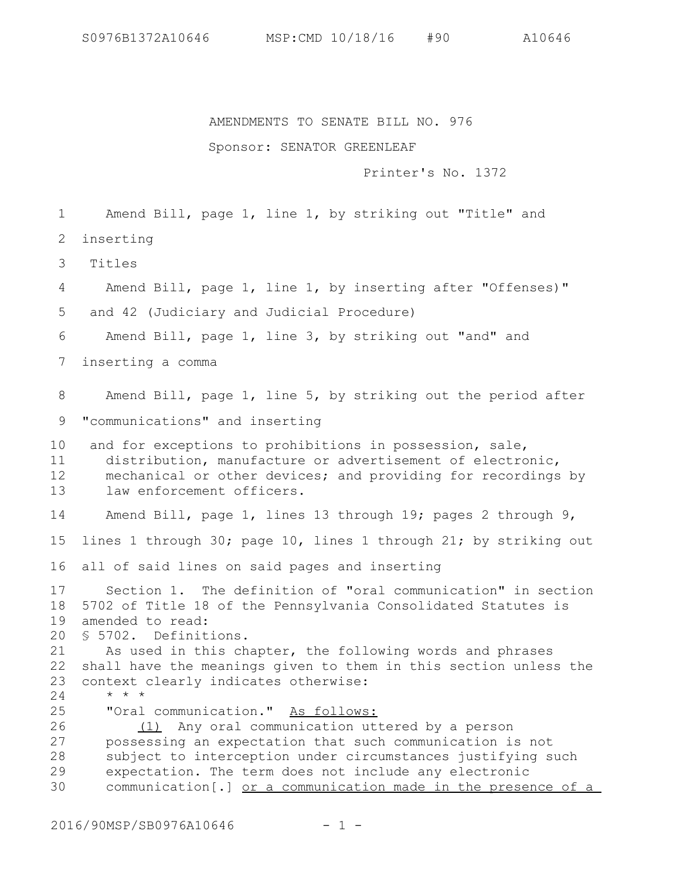## AMENDMENTS TO SENATE BILL NO. 976

## Sponsor: SENATOR GREENLEAF

Printer's No. 1372

Amend Bill, page 1, line 1, by striking out "Title" and 1

inserting 2

 Titles 3

Amend Bill, page 1, line 1, by inserting after "Offenses)" 4

and 42 (Judiciary and Judicial Procedure) 5

Amend Bill, page 1, line 3, by striking out "and" and 6

inserting a comma 7

Amend Bill, page 1, line 5, by striking out the period after 8

"communications" and inserting 9

and for exceptions to prohibitions in possession, sale, distribution, manufacture or advertisement of electronic, mechanical or other devices; and providing for recordings by law enforcement officers. 10 11 12 13

Amend Bill, page 1, lines 13 through 19; pages 2 through 9, 14

lines 1 through 30; page 10, lines 1 through 21; by striking out 15

all of said lines on said pages and inserting 16

Section 1. The definition of "oral communication" in section 5702 of Title 18 of the Pennsylvania Consolidated Statutes is amended to read: 17 18 19

§ 5702. Definitions. 20

As used in this chapter, the following words and phrases 22 shall have the meanings given to them in this section unless the context clearly indicates otherwise: \* \* \* 21 23

24

"Oral communication." As follows: 25

(1) Any oral communication uttered by a person possessing an expectation that such communication is not subject to interception under circumstances justifying such expectation. The term does not include any electronic communication[.] or a communication made in the presence of a 26 27 28 29 30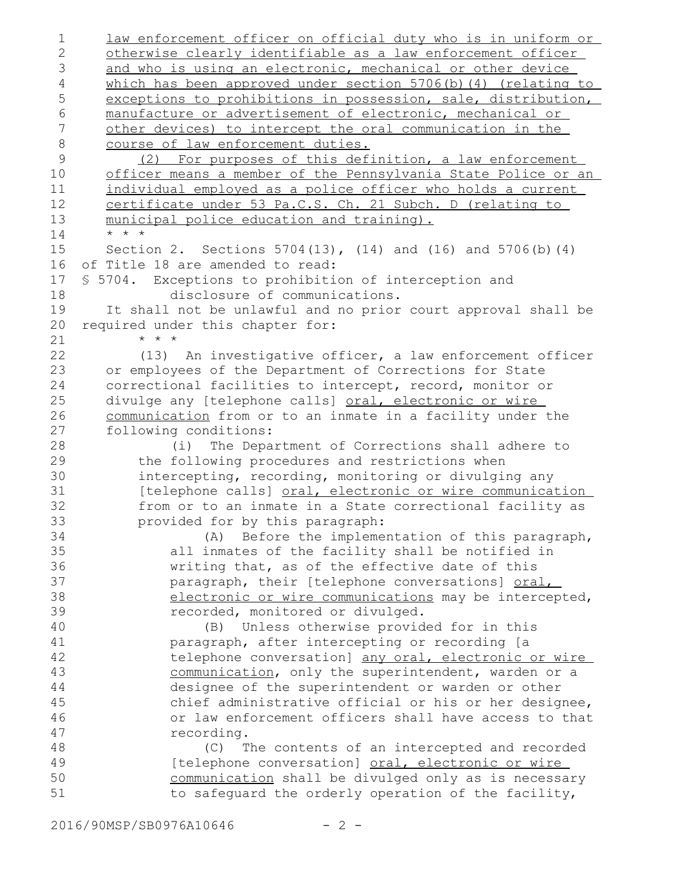law enforcement officer on official duty who is in uniform or otherwise clearly identifiable as a law enforcement officer and who is using an electronic, mechanical or other device which has been approved under section 5706(b)(4) (relating to exceptions to prohibitions in possession, sale, distribution, manufacture or advertisement of electronic, mechanical or other devices) to intercept the oral communication in the course of law enforcement duties. (2) For purposes of this definition, a law enforcement officer means a member of the Pennsylvania State Police or an individual employed as a police officer who holds a current certificate under 53 Pa.C.S. Ch. 21 Subch. D (relating to municipal police education and training). \* \* \* Section 2. Sections 5704(13), (14) and (16) and 5706(b)(4) of Title 18 are amended to read: § 5704. Exceptions to prohibition of interception and disclosure of communications. It shall not be unlawful and no prior court approval shall be required under this chapter for: \* \* \* (13) An investigative officer, a law enforcement officer or employees of the Department of Corrections for State correctional facilities to intercept, record, monitor or divulge any [telephone calls] oral, electronic or wire communication from or to an inmate in a facility under the following conditions: (i) The Department of Corrections shall adhere to the following procedures and restrictions when intercepting, recording, monitoring or divulging any [telephone calls] oral, electronic or wire communication from or to an inmate in a State correctional facility as provided for by this paragraph: (A) Before the implementation of this paragraph, all inmates of the facility shall be notified in writing that, as of the effective date of this paragraph, their [telephone conversations] oral, electronic or wire communications may be intercepted, recorded, monitored or divulged. (B) Unless otherwise provided for in this paragraph, after intercepting or recording [a telephone conversation] any oral, electronic or wire communication, only the superintendent, warden or a designee of the superintendent or warden or other chief administrative official or his or her designee, or law enforcement officers shall have access to that recording. (C) The contents of an intercepted and recorded [telephone conversation] oral, electronic or wire communication shall be divulged only as is necessary to safeguard the orderly operation of the facility, 1 2 3 4 5 6 7 8 9 10 11 12 13 14 15 16 17 18 19 20 21 22 23 24 25 26 27 28 29 30 31 32 33 34 35 36 37 38 39 40 41 42 43 44 45 46 47 48 49 50 51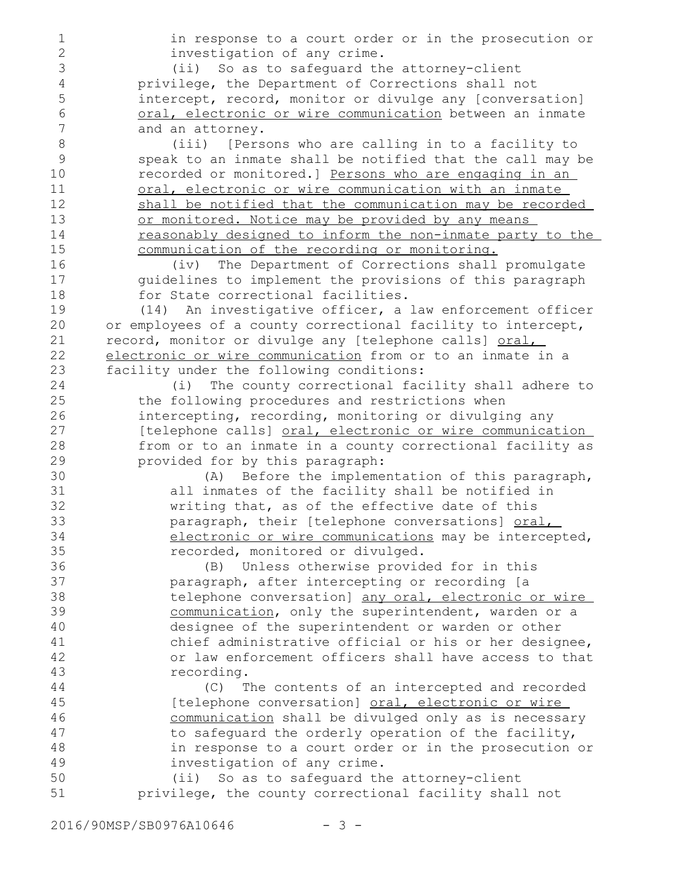in response to a court order or in the prosecution or investigation of any crime. (ii) So as to safeguard the attorney-client privilege, the Department of Corrections shall not intercept, record, monitor or divulge any [conversation] oral, electronic or wire communication between an inmate and an attorney. (iii) [Persons who are calling in to a facility to speak to an inmate shall be notified that the call may be recorded or monitored.] Persons who are engaging in an oral, electronic or wire communication with an inmate shall be notified that the communication may be recorded or monitored. Notice may be provided by any means reasonably designed to inform the non-inmate party to the communication of the recording or monitoring. (iv) The Department of Corrections shall promulgate guidelines to implement the provisions of this paragraph for State correctional facilities. (14) An investigative officer, a law enforcement officer or employees of a county correctional facility to intercept, record, monitor or divulge any [telephone calls] oral, electronic or wire communication from or to an inmate in a facility under the following conditions: (i) The county correctional facility shall adhere to the following procedures and restrictions when intercepting, recording, monitoring or divulging any [telephone calls] oral, electronic or wire communication from or to an inmate in a county correctional facility as provided for by this paragraph: (A) Before the implementation of this paragraph, all inmates of the facility shall be notified in writing that, as of the effective date of this paragraph, their [telephone conversations] oral, electronic or wire communications may be intercepted, recorded, monitored or divulged. (B) Unless otherwise provided for in this paragraph, after intercepting or recording [a telephone conversation] any oral, electronic or wire communication, only the superintendent, warden or a designee of the superintendent or warden or other chief administrative official or his or her designee, or law enforcement officers shall have access to that recording. (C) The contents of an intercepted and recorded [telephone conversation] oral, electronic or wire communication shall be divulged only as is necessary to safeguard the orderly operation of the facility, in response to a court order or in the prosecution or investigation of any crime. (ii) So as to safeguard the attorney-client privilege, the county correctional facility shall not 1 2 3 4 5 6 7 8 9 10 11 12 13 14 15 16 17 18 19 20 21 22 23 24 25 26 27 28 29 30 31 32 33 34 35 36 37 38 39 40 41 42 43 44 45 46 47 48 49 50 51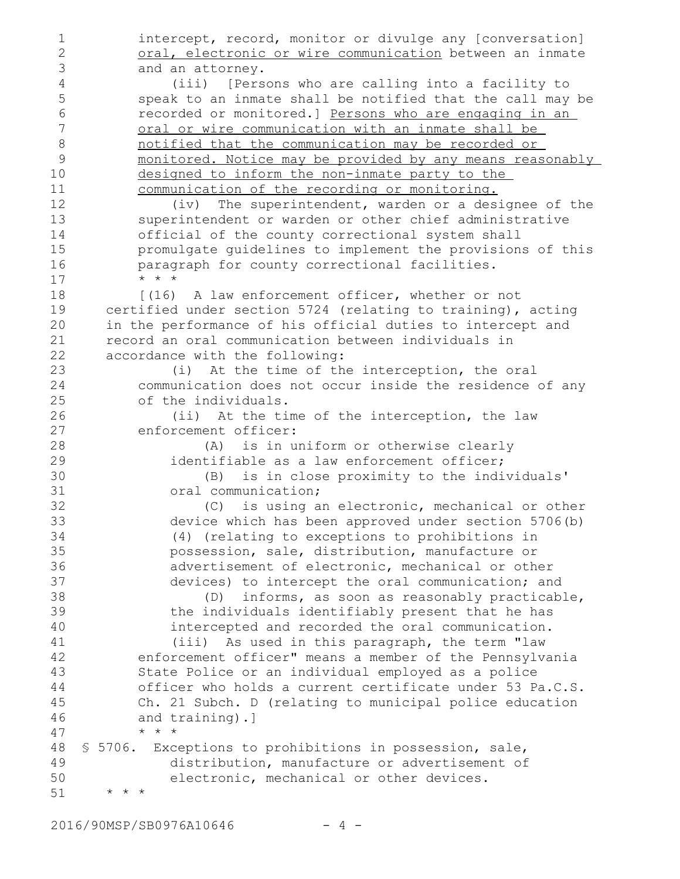intercept, record, monitor or divulge any [conversation] oral, electronic or wire communication between an inmate and an attorney. (iii) [Persons who are calling into a facility to speak to an inmate shall be notified that the call may be recorded or monitored.] Persons who are engaging in an oral or wire communication with an inmate shall be notified that the communication may be recorded or monitored. Notice may be provided by any means reasonably designed to inform the non-inmate party to the communication of the recording or monitoring. (iv) The superintendent, warden or a designee of the superintendent or warden or other chief administrative official of the county correctional system shall promulgate guidelines to implement the provisions of this paragraph for county correctional facilities. \* \* \* [(16) A law enforcement officer, whether or not certified under section 5724 (relating to training), acting in the performance of his official duties to intercept and record an oral communication between individuals in accordance with the following: (i) At the time of the interception, the oral communication does not occur inside the residence of any of the individuals. (ii) At the time of the interception, the law enforcement officer: (A) is in uniform or otherwise clearly identifiable as a law enforcement officer; (B) is in close proximity to the individuals' oral communication; (C) is using an electronic, mechanical or other device which has been approved under section 5706(b) (4) (relating to exceptions to prohibitions in possession, sale, distribution, manufacture or advertisement of electronic, mechanical or other devices) to intercept the oral communication; and (D) informs, as soon as reasonably practicable, the individuals identifiably present that he has intercepted and recorded the oral communication. (iii) As used in this paragraph, the term "law enforcement officer" means a member of the Pennsylvania State Police or an individual employed as a police officer who holds a current certificate under 53 Pa.C.S. Ch. 21 Subch. D (relating to municipal police education and training).] \* \* \* § 5706. Exceptions to prohibitions in possession, sale, distribution, manufacture or advertisement of electronic, mechanical or other devices. \* \* \* 1 2 3 4 5 6 7 8 9 10 11 12 13 14 15 16 17 18 19 20 21 22 23 24 25 26 27 28 29 30 31 32 33 34 35 36 37 38 39 40 41 42 43 44 45 46 47 48 49 50 51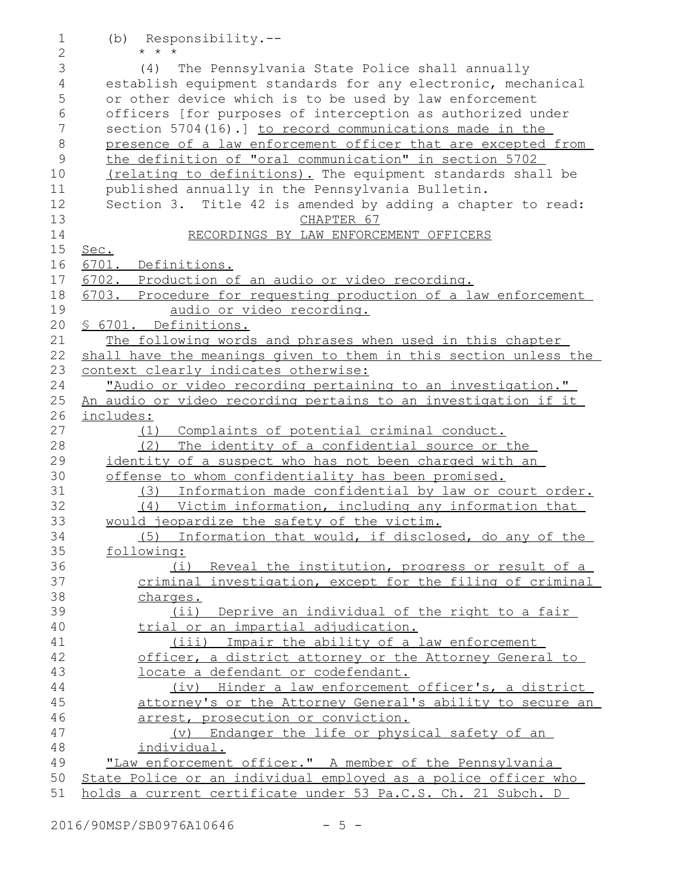(b) Responsibility.-- \* \* \* (4) The Pennsylvania State Police shall annually establish equipment standards for any electronic, mechanical or other device which is to be used by law enforcement officers [for purposes of interception as authorized under section 5704(16).] to record communications made in the presence of a law enforcement officer that are excepted from the definition of "oral communication" in section 5702 (relating to definitions). The equipment standards shall be published annually in the Pennsylvania Bulletin. Section 3. Title 42 is amended by adding a chapter to read: CHAPTER 67 RECORDINGS BY LAW ENFORCEMENT OFFICERS Sec. 6701. Definitions. 6702. Production of an audio or video recording. 6703. Procedure for requesting production of a law enforcement audio or video recording. § 6701. Definitions. The following words and phrases when used in this chapter shall have the meanings given to them in this section unless the context clearly indicates otherwise: "Audio or video recording pertaining to an investigation." An audio or video recording pertains to an investigation if it includes: (1) Complaints of potential criminal conduct. (2) The identity of a confidential source or the identity of a suspect who has not been charged with an offense to whom confidentiality has been promised. (3) Information made confidential by law or court order. (4) Victim information, including any information that would jeopardize the safety of the victim. (5) Information that would, if disclosed, do any of the following: (i) Reveal the institution, progress or result of a criminal investigation, except for the filing of criminal charges. (ii) Deprive an individual of the right to a fair trial or an impartial adjudication. (iii) Impair the ability of a law enforcement officer, a district attorney or the Attorney General to locate a defendant or codefendant. (iv) Hinder a law enforcement officer's, a district attorney's or the Attorney General's ability to secure an arrest, prosecution or conviction. (v) Endanger the life or physical safety of an individual. "Law enforcement officer." A member of the Pennsylvania State Police or an individual employed as a police officer who 1 2 3 4 5 6 7 8 9 10 11 12 13 14 15 16 17 18 19 20 21 22 23 24 25 26 27 28 29 30 31 32 33 34 35 36 37 38 39 40 41 42 43 44 45 46 47 48 49 50

51

holds a current certificate under 53 Pa.C.S. Ch. 21 Subch. D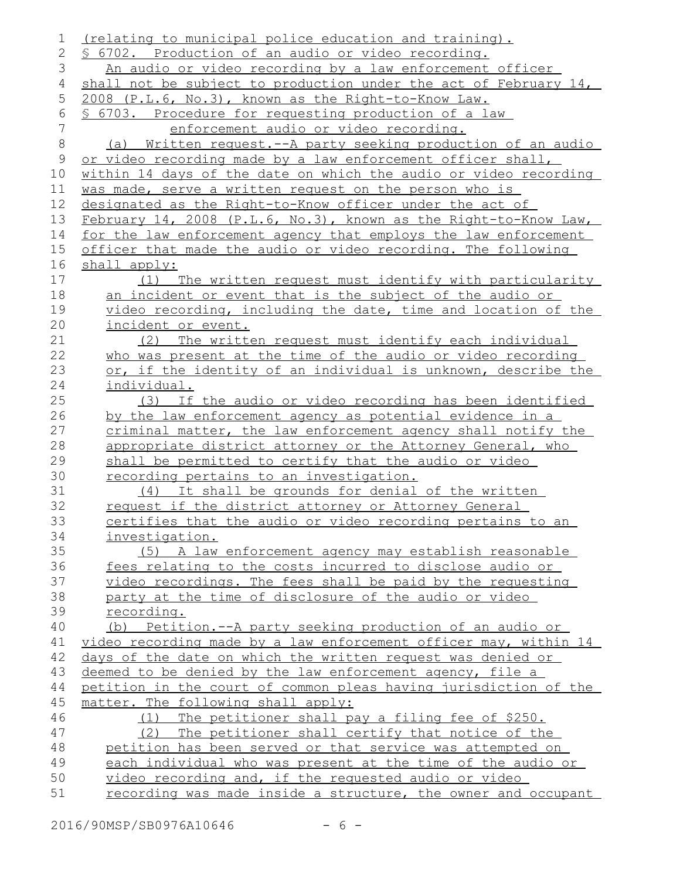| 1              | (relating to municipal police education and training).           |
|----------------|------------------------------------------------------------------|
| $\overline{2}$ | \$ 6702. Production of an audio or video recording.              |
| 3              | An audio or video recording by a law enforcement officer         |
| 4              | shall not be subject to production under the act of February 14, |
| 5              | 2008 (P.L.6, No.3), known as the Right-to-Know Law.              |
| 6              | <u>§ 6703. Procedure for requesting production of a law</u>      |
| 7              | enforcement audio or video recording.                            |
| 8              | (a) Written request.--A party seeking production of an audio     |
| 9              | or video recording made by a law enforcement officer shall,      |
| 10             | within 14 days of the date on which the audio or video recording |
| 11             | was made, serve a written request on the person who is           |
| 12             | designated as the Right-to-Know officer under the act of         |
| 13             | February 14, 2008 (P.L.6, No.3), known as the Right-to-Know Law, |
| 14             | for the law enforcement agency that employs the law enforcement  |
| 15             | officer that made the audio or video recording. The following    |
| 16             | shall apply:                                                     |
| 17             | (1) The written request must identify with particularity         |
| 18             | an incident or event that is the subject of the audio or         |
| 19             | video recording, including the date, time and location of the    |
| 20             | incident or event.                                               |
| 21             | (2) The written request must identify each individual            |
| 22             | who was present at the time of the audio or video recording      |
| 23             | or, if the identity of an individual is unknown, describe the    |
| 24             | individual.                                                      |
| 25             | (3) If the audio or video recording has been identified          |
| 26             | by the law enforcement agency as potential evidence in a         |
| 27             | criminal matter, the law enforcement agency shall notify the     |
| 28             | appropriate district attorney or the Attorney General, who       |
| 29             | shall be permitted to certify that the audio or video            |
| 30             | <u>recording pertains to an investigation.</u>                   |
| 31             | (4) It shall be grounds for denial of the written                |
| 32             | request if the district attorney or Attorney General             |
| 33             | certifies that the audio or video recording pertains to an       |
| 34             | investigation.                                                   |
| 35             | (5) A law enforcement agency may establish reasonable            |
| 36             | fees relating to the costs incurred to disclose audio or         |
| 37             | video recordings. The fees shall be paid by the requesting       |
| 38             | party at the time of disclosure of the audio or video            |
| 39             | recording.                                                       |
| 40             | Petition.--A party seeking production of an audio or<br>(b)      |
| 41             | video recording made by a law enforcement officer may, within 14 |
| 42             | days of the date on which the written request was denied or      |
| 43             | deemed to be denied by the law enforcement agency, file a        |
| 44             | petition in the court of common pleas having jurisdiction of the |
| 45             | matter. The following shall apply:                               |
| 46             | (1) The petitioner shall pay a filing fee of \$250.              |
| 47             | (2) The petitioner shall certify that notice of the              |
| 48             | petition has been served or that service was attempted on        |
| 49             | each individual who was present at the time of the audio or      |
| 50             | video recording and, if the requested audio or video             |
| 51             | recording was made inside a structure, the owner and occupant    |